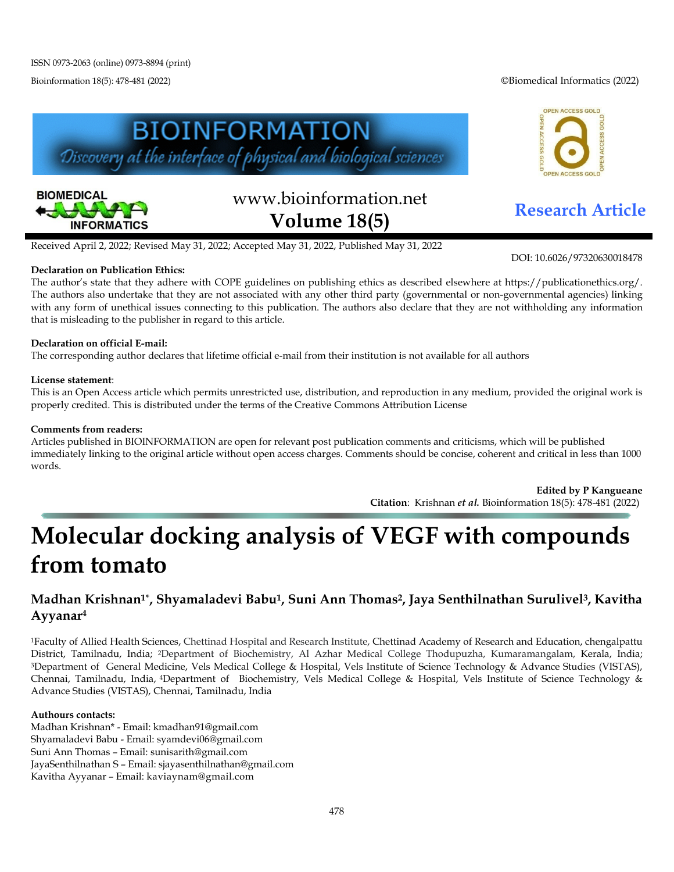Bioinformation 18(5): 478-481 (2022) ©Biomedical Informatics (2022)

OPEN ACCESS GOLD





# www.bioinformation.net **Research Article Volume 18(5)**

ACCESS GO

#### Received April 2, 2022; Revised May 31, 2022; Accepted May 31, 2022, Published May 31, 2022

#### **Declaration on Publication Ethics:**

The author's state that they adhere with COPE guidelines on publishing ethics as described elsewhere at https://publicationethics.org/. The authors also undertake that they are not associated with any other third party (governmental or non-governmental agencies) linking with any form of unethical issues connecting to this publication. The authors also declare that they are not withholding any information that is misleading to the publisher in regard to this article.

#### **Declaration on official E-mail:**

The corresponding author declares that lifetime official e-mail from their institution is not available for all authors

#### **License statement**:

This is an Open Access article which permits unrestricted use, distribution, and reproduction in any medium, provided the original work is properly credited. This is distributed under the terms of the Creative Commons Attribution License

#### **Comments from readers:**

Articles published in BIOINFORMATION are open for relevant post publication comments and criticisms, which will be published immediately linking to the original article without open access charges. Comments should be concise, coherent and critical in less than 1000 words.

> **Edited by P Kangueane Citation**: Krishnan *et al.* Bioinformation 18(5): 478-481 (2022)

## **Molecular docking analysis of VEGF with compounds from tomato**

### **Madhan Krishnan1\*, Shyamaladevi Babu1, Suni Ann Thomas2, Jaya Senthilnathan Surulivel3, Kavitha Ayyanar4**

1Faculty of Allied Health Sciences, Chettinad Hospital and Research Institute, Chettinad Academy of Research and Education, chengalpattu District, Tamilnadu, India; 2Department of Biochemistry, Al Azhar Medical College Thodupuzha, Kumaramangalam, Kerala, India; 3Department of General Medicine, Vels Medical College & Hospital, Vels Institute of Science Technology & Advance Studies (VISTAS), Chennai, Tamilnadu, India, 4Department of Biochemistry, Vels Medical College & Hospital, Vels Institute of Science Technology & Advance Studies (VISTAS), Chennai, Tamilnadu, India

#### **Authours contacts:**

Madhan Krishnan\* - Email: kmadhan91@gmail.com Shyamaladevi Babu - Email: syamdevi06@gmail.com Suni Ann Thomas – Email: sunisarith@gmail.com JayaSenthilnathan S – Email: sjayasenthilnathan@gmail.com Kavitha Ayyanar – Email: kaviaynam@gmail.com

DOI: 10.6026/97320630018478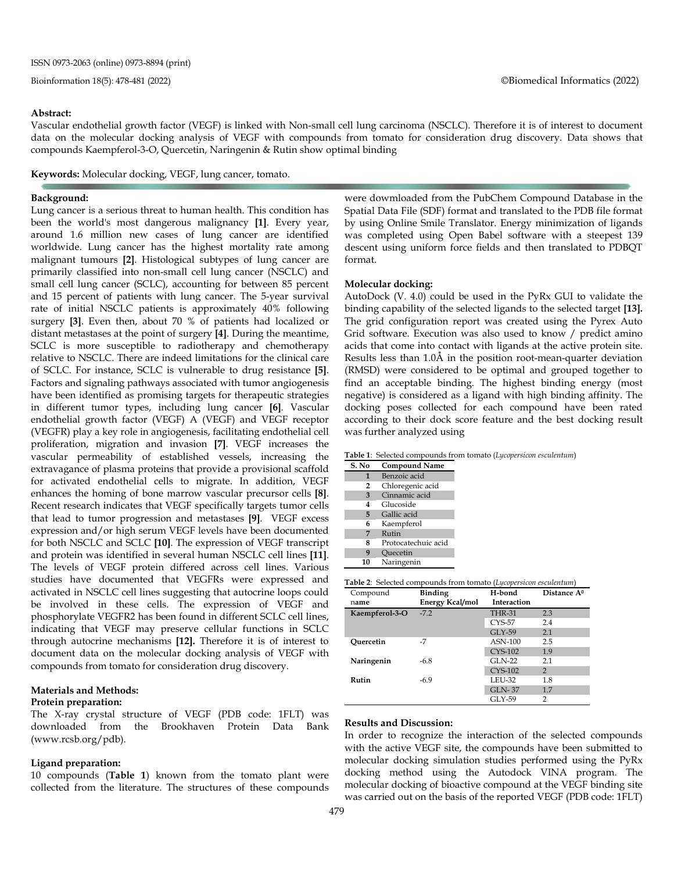#### **Abstract:**

Vascular endothelial growth factor (VEGF) is linked with Non-small cell lung carcinoma (NSCLC). Therefore it is of interest to document data on the molecular docking analysis of VEGF with compounds from tomato for consideration drug discovery. Data shows that compounds Kaempferol-3-O, Quercetin, Naringenin & Rutin show optimal binding

**Keywords:** Molecular docking, VEGF, lung cancer, tomato.

#### **Background:**

Lung cancer is a serious threat to human health. This condition has been the world's most dangerous malignancy **[1]**. Every year, around 1.6 million new cases of lung cancer are identified worldwide. Lung cancer has the highest mortality rate among malignant tumours **[2]**. Histological subtypes of lung cancer are primarily classified into non-small cell lung cancer (NSCLC) and small cell lung cancer (SCLC), accounting for between 85 percent and 15 percent of patients with lung cancer. The 5-year survival rate of initial NSCLC patients is approximately 40% following surgery **[3]**. Even then, about 70 % of patients had localized or distant metastases at the point of surgery **[4]**. During the meantime, SCLC is more susceptible to radiotherapy and chemotherapy relative to NSCLC. There are indeed limitations for the clinical care of SCLC. For instance, SCLC is vulnerable to drug resistance **[5]**. Factors and signaling pathways associated with tumor angiogenesis have been identified as promising targets for therapeutic strategies in different tumor types, including lung cancer **[6]**. Vascular endothelial growth factor (VEGF) A (VEGF) and VEGF receptor (VEGFR) play a key role in angiogenesis, facilitating endothelial cell proliferation, migration and invasion **[7]**. VEGF increases the vascular permeability of established vessels, increasing the extravagance of plasma proteins that provide a provisional scaffold for activated endothelial cells to migrate. In addition, VEGF enhances the homing of bone marrow vascular precursor cells **[8]**. Recent research indicates that VEGF specifically targets tumor cells that lead to tumor progression and metastases **[9]**. VEGF excess expression and/or high serum VEGF levels have been documented for both NSCLC and SCLC **[10]**. The expression of VEGF transcript and protein was identified in several human NSCLC cell lines **[11]**. The levels of VEGF protein differed across cell lines. Various studies have documented that VEGFRs were expressed and activated in NSCLC cell lines suggesting that autocrine loops could be involved in these cells. The expression of VEGF and phosphorylate VEGFR2 has been found in different SCLC cell lines, indicating that VEGF may preserve cellular functions in SCLC through autocrine mechanisms **[12].** Therefore it is of interest to document data on the molecular docking analysis of VEGF with compounds from tomato for consideration drug discovery.

#### **Materials and Methods: Protein preparation:**

The X-ray crystal structure of VEGF (PDB code: 1FLT) was downloaded from the Brookhaven Protein Data Bank (www.rcsb.org/pdb).

#### **Ligand preparation:**

10 compounds (**Table 1**) known from the tomato plant were collected from the literature. The structures of these compounds

were dowmloaded from the PubChem Compound Database in the Spatial Data File (SDF) format and translated to the PDB file format by using Online Smile Translator. Energy minimization of ligands was completed using Open Babel software with a steepest 139 descent using uniform force fields and then translated to PDBQT format.

#### **Molecular docking:**

AutoDock (V. 4.0) could be used in the PyRx GUI to validate the binding capability of the selected ligands to the selected target **[13].** The grid configuration report was created using the Pyrex Auto Grid software. Execution was also used to know / predict amino acids that come into contact with ligands at the active protein site. Results less than 1.0Å in the position root-mean-quarter deviation (RMSD) were considered to be optimal and grouped together to find an acceptable binding. The highest binding energy (most negative) is considered as a ligand with high binding affinity. The docking poses collected for each compound have been rated according to their dock score feature and the best docking result was further analyzed using

#### **Table 1**: Selected compounds from tomato (*Lycopersicon esculentum*)

| S. No            | <b>Compound Name</b> |
|------------------|----------------------|
| 1                | Benzoic acid         |
| 2                | Chloregenic acid     |
| 3                | Cinnamic acid        |
| 4                | Glucoside            |
| 5                | Gallic acid          |
| 6                | Kaempferol           |
| 7                | Rutin                |
| 8                | Protocatechuic acid  |
| $\boldsymbol{q}$ | Ouecetin             |
| 10               | Naringenin           |

|  | Table 2: Selected compounds from tomato (Lycopersicon esculentum) |  |  |  |  |
|--|-------------------------------------------------------------------|--|--|--|--|
|--|-------------------------------------------------------------------|--|--|--|--|

| Compound       | <b>Binding</b>  | H-bond             | Distance A <sup>0</sup> |
|----------------|-----------------|--------------------|-------------------------|
| name           | Energy Kcal/mol | <b>Interaction</b> |                         |
| Kaempferol-3-O | $-72$           | <b>THR-31</b>      | 2.3                     |
|                |                 | $CYS-57$           | 2.4                     |
|                |                 | $GI.Y-59$          | 2.1                     |
| Ouercetin      | $-7$            | $ASN-100$          | 2.5                     |
|                |                 | <b>CYS-102</b>     | 1.9                     |
| Naringenin     | $-6.8$          | $GLN-22$           | 2.1                     |
|                |                 | <b>CYS-102</b>     | 2                       |
| Rutin          | $-6.9$          | LEU-32             | 1.8                     |
|                |                 | <b>GLN-37</b>      | 1.7                     |
|                |                 | GLY-59             | 2                       |

#### **Results and Discussion:**

In order to recognize the interaction of the selected compounds with the active VEGF site, the compounds have been submitted to molecular docking simulation studies performed using the PyRx docking method using the Autodock VINA program. The molecular docking of bioactive compound at the VEGF binding site was carried out on the basis of the reported VEGF (PDB code: 1FLT)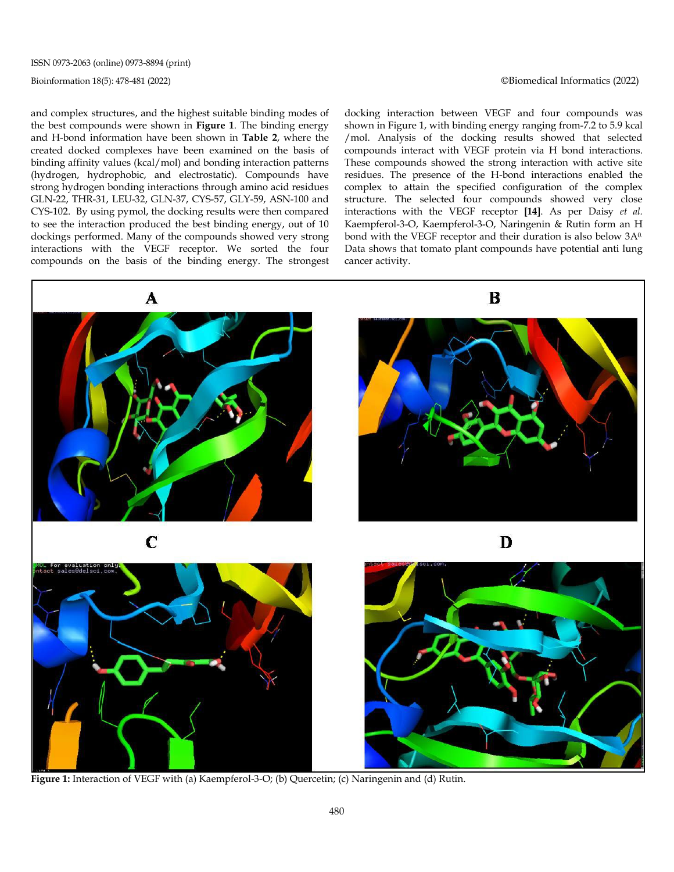ISSN 0973-2063 (online) 0973-8894 (print)

Bioinformation 18(5): 478-481 (2022) ©Biomedical Informatics (2022)

and complex structures, and the highest suitable binding modes of the best compounds were shown in **Figure 1**. The binding energy and H-bond information have been shown in **Table 2**, where the created docked complexes have been examined on the basis of binding affinity values (kcal/mol) and bonding interaction patterns (hydrogen, hydrophobic, and electrostatic). Compounds have strong hydrogen bonding interactions through amino acid residues GLN-22, THR-31, LEU-32, GLN-37, CYS-57, GLY-59, ASN-100 and CYS-102. By using pymol, the docking results were then compared to see the interaction produced the best binding energy, out of 10 dockings performed. Many of the compounds showed very strong interactions with the VEGF receptor. We sorted the four compounds on the basis of the binding energy. The strongest docking interaction between VEGF and four compounds was shown in Figure 1, with binding energy ranging from-7.2 to 5.9 kcal /mol. Analysis of the docking results showed that selected compounds interact with VEGF protein via H bond interactions. These compounds showed the strong interaction with active site residues. The presence of the H-bond interactions enabled the complex to attain the specified configuration of the complex structure. The selected four compounds showed very close interactions with the VEGF receptor **[14]**. As per Daisy *et al.* Kaempferol-3-O, Kaempferol-3-O, Naringenin & Rutin form an H bond with the VEGF receptor and their duration is also below 3A0. Data shows that tomato plant compounds have potential anti lung cancer activity.



**Figure 1:** Interaction of VEGF with (a) Kaempferol-3-O; (b) Quercetin; (c) Naringenin and (d) Rutin.